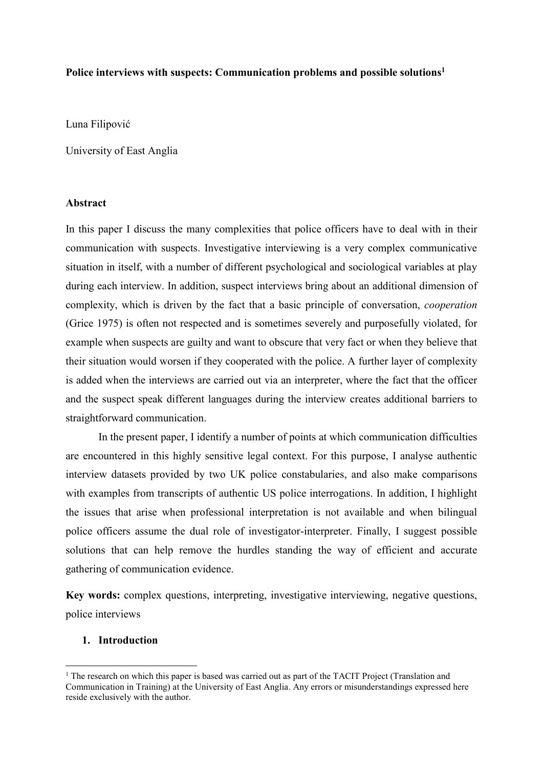#### **Police interviews with suspects: Communication problems and possible solutions<sup>1</sup>**

Luna Filipović

University of East Anglia

#### **Abstract**

In this paper I discuss the many complexities that police officers have to deal with in their communication with suspects. Investigative interviewing is a very complex communicative situation in itself, with a number of different psychological and sociological variables at play during each interview. In addition, suspect interviews bring about an additional dimension of complexity, which is driven by the fact that a basic principle of conversation, *cooperation* (Grice 1975) is often not respected and is sometimes severely and purposefully violated, for example when suspects are guilty and want to obscure that very fact or when they believe that their situation would worsen if they cooperated with the police. A further layer of complexity is added when the interviews are carried out via an interpreter, where the fact that the officer and the suspect speak different languages during the interview creates additional barriers to straightforward communication.

In the present paper, I identify a number of points at which communication difficulties are encountered in this highly sensitive legal context. For this purpose, I analyse authentic interview datasets provided by two UK police constabularies, and also make comparisons with examples from transcripts of authentic US police interrogations. In addition, I highlight the issues that arise when professional interpretation is not available and when bilingual police officers assume the dual role of investigator-interpreter. Finally, I suggest possible solutions that can help remove the hurdles standing the way of efficient and accurate gathering of communication evidence.

**Key words:** complex questions, interpreting, investigative interviewing, negative questions, police interviews

#### **1. Introduction**

 $\overline{a}$ 

 $1$  The research on which this paper is based was carried out as part of the TACIT Project (Translation and Communication in Training) at the University of East Anglia. Any errors or misunderstandings expressed here reside exclusively with the author.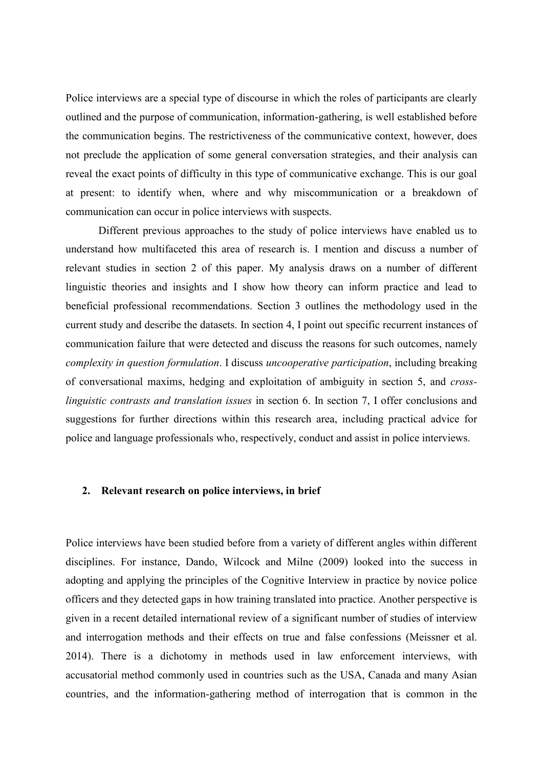Police interviews are a special type of discourse in which the roles of participants are clearly outlined and the purpose of communication, information-gathering, is well established before the communication begins. The restrictiveness of the communicative context, however, does not preclude the application of some general conversation strategies, and their analysis can reveal the exact points of difficulty in this type of communicative exchange. This is our goal at present: to identify when, where and why miscommunication or a breakdown of communication can occur in police interviews with suspects.

Different previous approaches to the study of police interviews have enabled us to understand how multifaceted this area of research is. I mention and discuss a number of relevant studies in section 2 of this paper. My analysis draws on a number of different linguistic theories and insights and I show how theory can inform practice and lead to beneficial professional recommendations. Section 3 outlines the methodology used in the current study and describe the datasets. In section 4, I point out specific recurrent instances of communication failure that were detected and discuss the reasons for such outcomes, namely *complexity in question formulation*. I discuss *uncooperative participation*, including breaking of conversational maxims, hedging and exploitation of ambiguity in section 5, and *crosslinguistic contrasts and translation issues* in section 6. In section 7, I offer conclusions and suggestions for further directions within this research area, including practical advice for police and language professionals who, respectively, conduct and assist in police interviews.

#### **2. Relevant research on police interviews, in brief**

Police interviews have been studied before from a variety of different angles within different disciplines. For instance, Dando, Wilcock and Milne (2009) looked into the success in adopting and applying the principles of the Cognitive Interview in practice by novice police officers and they detected gaps in how training translated into practice. Another perspective is given in a recent detailed international review of a significant number of studies of interview and interrogation methods and their effects on true and false confessions (Meissner et al. 2014). There is a dichotomy in methods used in law enforcement interviews, with accusatorial method commonly used in countries such as the USA, Canada and many Asian countries, and the information-gathering method of interrogation that is common in the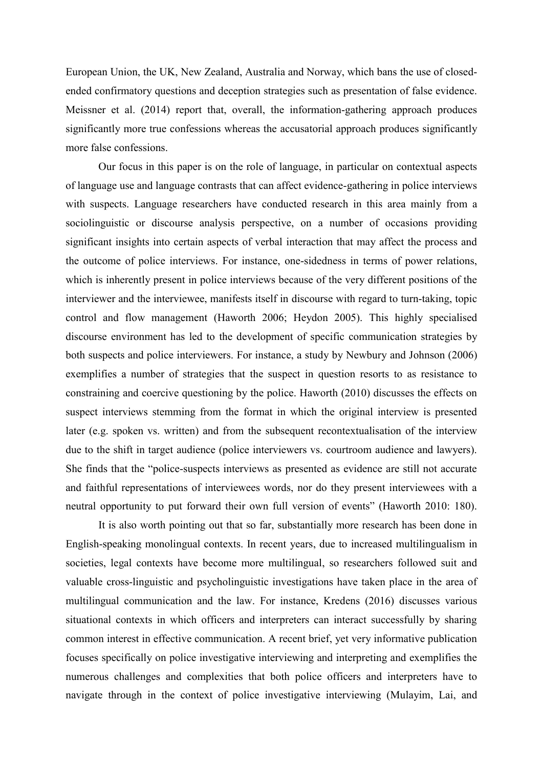European Union, the UK, New Zealand, Australia and Norway, which bans the use of closedended confirmatory questions and deception strategies such as presentation of false evidence. Meissner et al. (2014) report that, overall, the information-gathering approach produces significantly more true confessions whereas the accusatorial approach produces significantly more false confessions.

Our focus in this paper is on the role of language, in particular on contextual aspects of language use and language contrasts that can affect evidence-gathering in police interviews with suspects. Language researchers have conducted research in this area mainly from a sociolinguistic or discourse analysis perspective, on a number of occasions providing significant insights into certain aspects of verbal interaction that may affect the process and the outcome of police interviews. For instance, one-sidedness in terms of power relations, which is inherently present in police interviews because of the very different positions of the interviewer and the interviewee, manifests itself in discourse with regard to turn-taking, topic control and flow management (Haworth 2006; Heydon 2005). This highly specialised discourse environment has led to the development of specific communication strategies by both suspects and police interviewers. For instance, a study by Newbury and Johnson (2006) exemplifies a number of strategies that the suspect in question resorts to as resistance to constraining and coercive questioning by the police. Haworth (2010) discusses the effects on suspect interviews stemming from the format in which the original interview is presented later (e.g. spoken vs. written) and from the subsequent recontextualisation of the interview due to the shift in target audience (police interviewers vs. courtroom audience and lawyers). She finds that the "police-suspects interviews as presented as evidence are still not accurate and faithful representations of interviewees words, nor do they present interviewees with a neutral opportunity to put forward their own full version of events" (Haworth 2010: 180).

It is also worth pointing out that so far, substantially more research has been done in English-speaking monolingual contexts. In recent years, due to increased multilingualism in societies, legal contexts have become more multilingual, so researchers followed suit and valuable cross-linguistic and psycholinguistic investigations have taken place in the area of multilingual communication and the law. For instance, Kredens (2016) discusses various situational contexts in which officers and interpreters can interact successfully by sharing common interest in effective communication. A recent brief, yet very informative publication focuses specifically on police investigative interviewing and interpreting and exemplifies the numerous challenges and complexities that both police officers and interpreters have to navigate through in the context of police investigative interviewing (Mulayim, Lai, and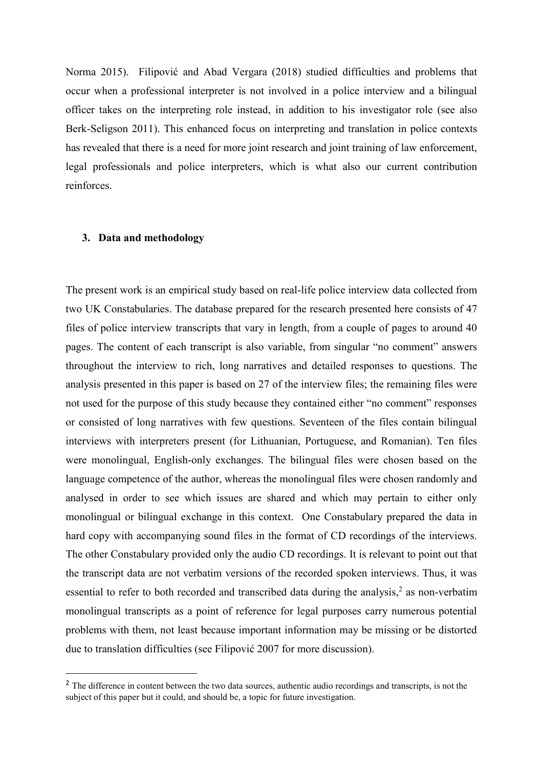Norma 2015). Filipović and Abad Vergara (2018) studied difficulties and problems that occur when a professional interpreter is not involved in a police interview and a bilingual officer takes on the interpreting role instead, in addition to his investigator role (see also Berk-Seligson 2011). This enhanced focus on interpreting and translation in police contexts has revealed that there is a need for more joint research and joint training of law enforcement, legal professionals and police interpreters, which is what also our current contribution reinforces.

#### **3. Data and methodology**

**.** 

The present work is an empirical study based on real-life police interview data collected from two UK Constabularies. The database prepared for the research presented here consists of 47 files of police interview transcripts that vary in length, from a couple of pages to around 40 pages. The content of each transcript is also variable, from singular "no comment" answers throughout the interview to rich, long narratives and detailed responses to questions. The analysis presented in this paper is based on 27 of the interview files; the remaining files were not used for the purpose of this study because they contained either "no comment" responses or consisted of long narratives with few questions. Seventeen of the files contain bilingual interviews with interpreters present (for Lithuanian, Portuguese, and Romanian). Ten files were monolingual, English-only exchanges. The bilingual files were chosen based on the language competence of the author, whereas the monolingual files were chosen randomly and analysed in order to see which issues are shared and which may pertain to either only monolingual or bilingual exchange in this context. One Constabulary prepared the data in hard copy with accompanying sound files in the format of CD recordings of the interviews. The other Constabulary provided only the audio CD recordings. It is relevant to point out that the transcript data are not verbatim versions of the recorded spoken interviews. Thus, it was essential to refer to both recorded and transcribed data during the analysis,<sup>2</sup> as non-verbatim monolingual transcripts as a point of reference for legal purposes carry numerous potential problems with them, not least because important information may be missing or be distorted due to translation difficulties (see Filipović 2007 for more discussion).

<sup>&</sup>lt;sup>2</sup> The difference in content between the two data sources, authentic audio recordings and transcripts, is not the subject of this paper but it could, and should be, a topic for future investigation.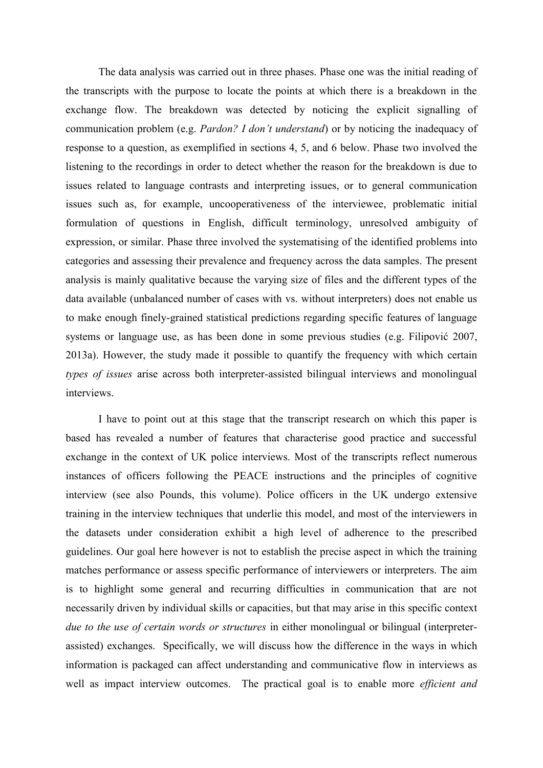The data analysis was carried out in three phases. Phase one was the initial reading of the transcripts with the purpose to locate the points at which there is a breakdown in the exchange flow. The breakdown was detected by noticing the explicit signalling of communication problem (e.g. *Pardon? I don't understand*) or by noticing the inadequacy of response to a question, as exemplified in sections 4, 5, and 6 below. Phase two involved the listening to the recordings in order to detect whether the reason for the breakdown is due to issues related to language contrasts and interpreting issues, or to general communication issues such as, for example, uncooperativeness of the interviewee, problematic initial formulation of questions in English, difficult terminology, unresolved ambiguity of expression, or similar. Phase three involved the systematising of the identified problems into categories and assessing their prevalence and frequency across the data samples. The present analysis is mainly qualitative because the varying size of files and the different types of the data available (unbalanced number of cases with vs. without interpreters) does not enable us to make enough finely-grained statistical predictions regarding specific features of language systems or language use, as has been done in some previous studies (e.g. Filipović 2007, 2013a). However, the study made it possible to quantify the frequency with which certain *types of issues* arise across both interpreter-assisted bilingual interviews and monolingual interviews.

I have to point out at this stage that the transcript research on which this paper is based has revealed a number of features that characterise good practice and successful exchange in the context of UK police interviews. Most of the transcripts reflect numerous instances of officers following the PEACE instructions and the principles of cognitive interview (see also Pounds, this volume). Police officers in the UK undergo extensive training in the interview techniques that underlie this model, and most of the interviewers in the datasets under consideration exhibit a high level of adherence to the prescribed guidelines. Our goal here however is not to establish the precise aspect in which the training matches performance or assess specific performance of interviewers or interpreters. The aim is to highlight some general and recurring difficulties in communication that are not necessarily driven by individual skills or capacities, but that may arise in this specific context *due to the use of certain words or structures* in either monolingual or bilingual (interpreterassisted) exchanges. Specifically, we will discuss how the difference in the ways in which information is packaged can affect understanding and communicative flow in interviews as well as impact interview outcomes. The practical goal is to enable more *efficient and*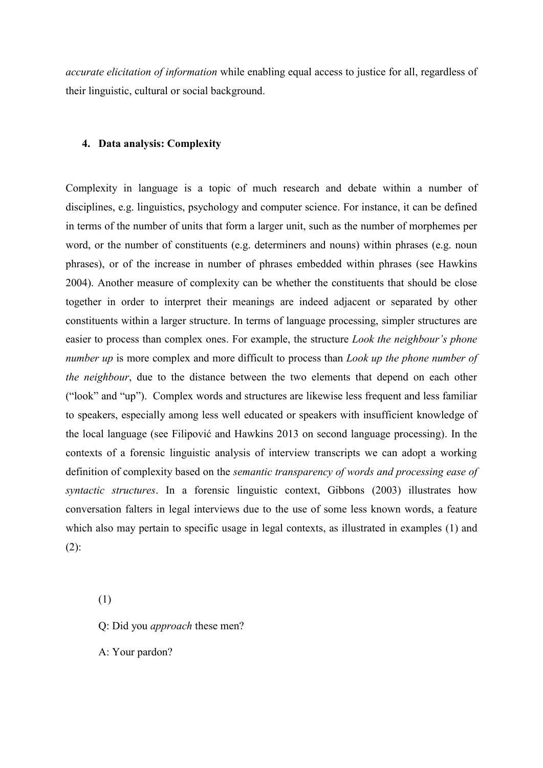*accurate elicitation of information* while enabling equal access to justice for all, regardless of their linguistic, cultural or social background.

#### **4. Data analysis: Complexity**

Complexity in language is a topic of much research and debate within a number of disciplines, e.g. linguistics, psychology and computer science. For instance, it can be defined in terms of the number of units that form a larger unit, such as the number of morphemes per word, or the number of constituents (e.g. determiners and nouns) within phrases (e.g. noun phrases), or of the increase in number of phrases embedded within phrases (see Hawkins 2004). Another measure of complexity can be whether the constituents that should be close together in order to interpret their meanings are indeed adjacent or separated by other constituents within a larger structure. In terms of language processing, simpler structures are easier to process than complex ones. For example, the structure *Look the neighbour's phone number up* is more complex and more difficult to process than *Look up the phone number of the neighbour*, due to the distance between the two elements that depend on each other ("look" and "up"). Complex words and structures are likewise less frequent and less familiar to speakers, especially among less well educated or speakers with insufficient knowledge of the local language (see Filipović and Hawkins 2013 on second language processing). In the contexts of a forensic linguistic analysis of interview transcripts we can adopt a working definition of complexity based on the *semantic transparency of words and processing ease of syntactic structures*. In a forensic linguistic context, Gibbons (2003) illustrates how conversation falters in legal interviews due to the use of some less known words, a feature which also may pertain to specific usage in legal contexts, as illustrated in examples (1) and  $(2)$ :

(1)

Q: Did you *approach* these men?

A: Your pardon?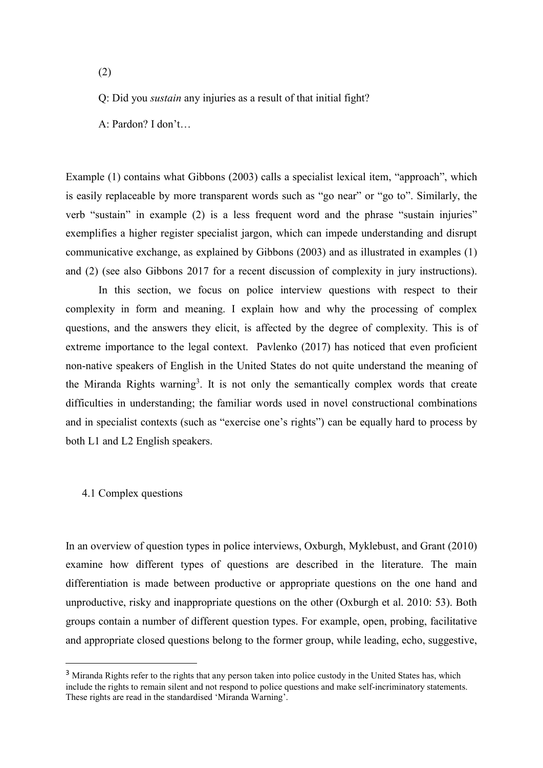(2)

Q: Did you *sustain* any injuries as a result of that initial fight?

A: Pardon? I don't…

Example (1) contains what Gibbons (2003) calls a specialist lexical item, "approach", which is easily replaceable by more transparent words such as "go near" or "go to". Similarly, the verb "sustain" in example (2) is a less frequent word and the phrase "sustain injuries" exemplifies a higher register specialist jargon, which can impede understanding and disrupt communicative exchange, as explained by Gibbons (2003) and as illustrated in examples (1) and (2) (see also Gibbons 2017 for a recent discussion of complexity in jury instructions).

In this section, we focus on police interview questions with respect to their complexity in form and meaning. I explain how and why the processing of complex questions, and the answers they elicit, is affected by the degree of complexity. This is of extreme importance to the legal context. Pavlenko (2017) has noticed that even proficient non-native speakers of English in the United States do not quite understand the meaning of the Miranda Rights warning<sup>3</sup>. It is not only the semantically complex words that create difficulties in understanding; the familiar words used in novel constructional combinations and in specialist contexts (such as "exercise one's rights") can be equally hard to process by both L1 and L2 English speakers.

# 4.1 Complex questions

1

In an overview of question types in police interviews, Oxburgh, Myklebust, and Grant (2010) examine how different types of questions are described in the literature. The main differentiation is made between productive or appropriate questions on the one hand and unproductive, risky and inappropriate questions on the other (Oxburgh et al. 2010: 53). Both groups contain a number of different question types. For example, open, probing, facilitative and appropriate closed questions belong to the former group, while leading, echo, suggestive,

<sup>&</sup>lt;sup>3</sup> Miranda Rights refer to the rights that any person taken into police custody in the United States has, which include the rights to remain silent and not respond to police questions and make self-incriminatory statements. These rights are read in the standardised 'Miranda Warning'.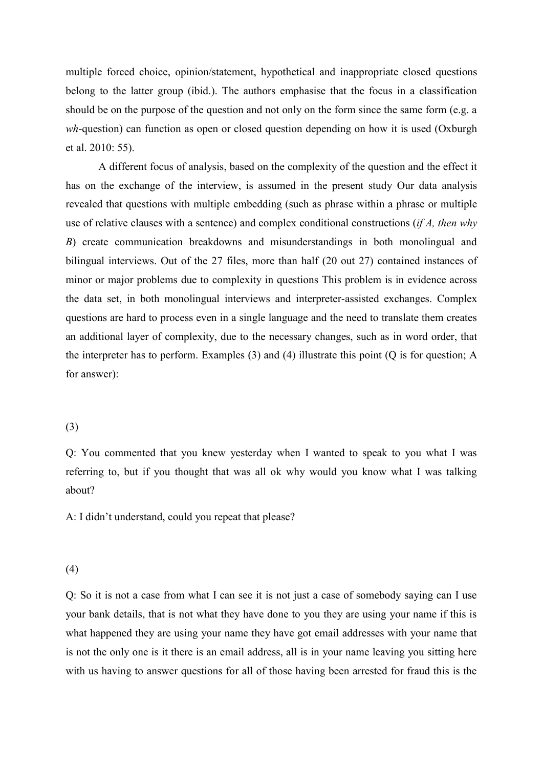multiple forced choice, opinion/statement, hypothetical and inappropriate closed questions belong to the latter group (ibid.). The authors emphasise that the focus in a classification should be on the purpose of the question and not only on the form since the same form (e.g. a *wh*-question) can function as open or closed question depending on how it is used (Oxburgh et al. 2010: 55).

A different focus of analysis, based on the complexity of the question and the effect it has on the exchange of the interview, is assumed in the present study Our data analysis revealed that questions with multiple embedding (such as phrase within a phrase or multiple use of relative clauses with a sentence) and complex conditional constructions (*if A, then why B*) create communication breakdowns and misunderstandings in both monolingual and bilingual interviews. Out of the 27 files, more than half (20 out 27) contained instances of minor or major problems due to complexity in questions This problem is in evidence across the data set, in both monolingual interviews and interpreter-assisted exchanges. Complex questions are hard to process even in a single language and the need to translate them creates an additional layer of complexity, due to the necessary changes, such as in word order, that the interpreter has to perform. Examples (3) and (4) illustrate this point (Q is for question; A for answer):

# (3)

Q: You commented that you knew yesterday when I wanted to speak to you what I was referring to, but if you thought that was all ok why would you know what I was talking about?

A: I didn't understand, could you repeat that please?

# (4)

Q: So it is not a case from what I can see it is not just a case of somebody saying can I use your bank details, that is not what they have done to you they are using your name if this is what happened they are using your name they have got email addresses with your name that is not the only one is it there is an email address, all is in your name leaving you sitting here with us having to answer questions for all of those having been arrested for fraud this is the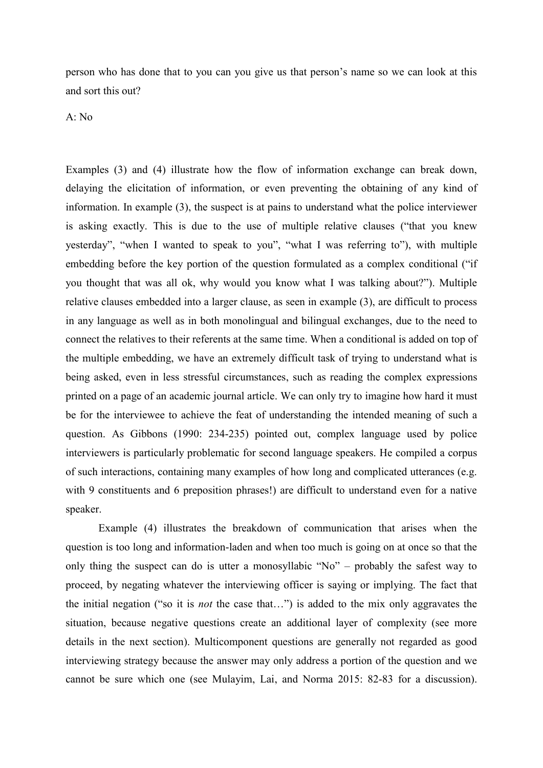person who has done that to you can you give us that person's name so we can look at this and sort this out?

A: No

Examples (3) and (4) illustrate how the flow of information exchange can break down, delaying the elicitation of information, or even preventing the obtaining of any kind of information. In example (3), the suspect is at pains to understand what the police interviewer is asking exactly. This is due to the use of multiple relative clauses ("that you knew yesterday", "when I wanted to speak to you", "what I was referring to"), with multiple embedding before the key portion of the question formulated as a complex conditional ("if you thought that was all ok, why would you know what I was talking about?"). Multiple relative clauses embedded into a larger clause, as seen in example (3), are difficult to process in any language as well as in both monolingual and bilingual exchanges, due to the need to connect the relatives to their referents at the same time. When a conditional is added on top of the multiple embedding, we have an extremely difficult task of trying to understand what is being asked, even in less stressful circumstances, such as reading the complex expressions printed on a page of an academic journal article. We can only try to imagine how hard it must be for the interviewee to achieve the feat of understanding the intended meaning of such a question. As Gibbons (1990: 234-235) pointed out, complex language used by police interviewers is particularly problematic for second language speakers. He compiled a corpus of such interactions, containing many examples of how long and complicated utterances (e.g. with 9 constituents and 6 preposition phrases!) are difficult to understand even for a native speaker.

Example (4) illustrates the breakdown of communication that arises when the question is too long and information-laden and when too much is going on at once so that the only thing the suspect can do is utter a monosyllabic "No" – probably the safest way to proceed, by negating whatever the interviewing officer is saying or implying. The fact that the initial negation ("so it is *not* the case that…") is added to the mix only aggravates the situation, because negative questions create an additional layer of complexity (see more details in the next section). Multicomponent questions are generally not regarded as good interviewing strategy because the answer may only address a portion of the question and we cannot be sure which one (see Mulayim, Lai, and Norma 2015: 82-83 for a discussion).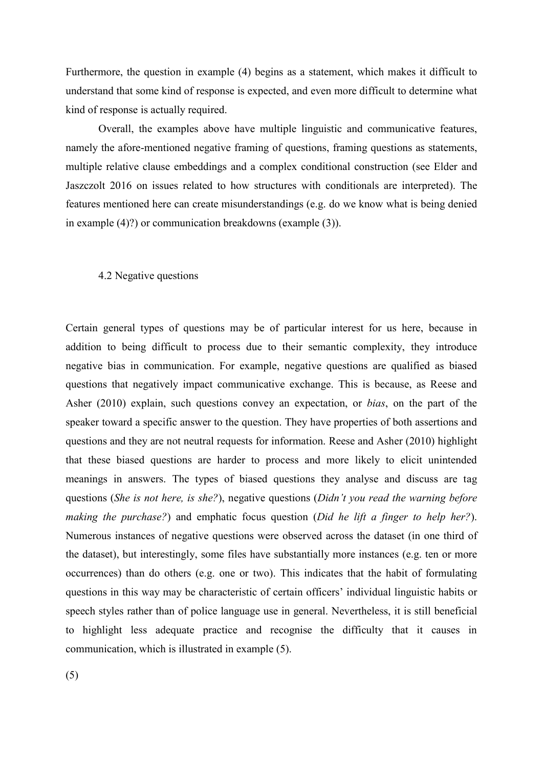Furthermore, the question in example (4) begins as a statement, which makes it difficult to understand that some kind of response is expected, and even more difficult to determine what kind of response is actually required.

Overall, the examples above have multiple linguistic and communicative features, namely the afore-mentioned negative framing of questions, framing questions as statements, multiple relative clause embeddings and a complex conditional construction (see Elder and Jaszczolt 2016 on issues related to how structures with conditionals are interpreted). The features mentioned here can create misunderstandings (e.g. do we know what is being denied in example (4)?) or communication breakdowns (example (3)).

#### 4.2 Negative questions

Certain general types of questions may be of particular interest for us here, because in addition to being difficult to process due to their semantic complexity, they introduce negative bias in communication. For example, negative questions are qualified as biased questions that negatively impact communicative exchange. This is because, as Reese and Asher (2010) explain, such questions convey an expectation, or *bias*, on the part of the speaker toward a specific answer to the question. They have properties of both assertions and questions and they are not neutral requests for information. Reese and Asher (2010) highlight that these biased questions are harder to process and more likely to elicit unintended meanings in answers. The types of biased questions they analyse and discuss are tag questions (*She is not here, is she?*), negative questions (*Didn't you read the warning before making the purchase?*) and emphatic focus question (*Did he lift a finger to help her?*). Numerous instances of negative questions were observed across the dataset (in one third of the dataset), but interestingly, some files have substantially more instances (e.g. ten or more occurrences) than do others (e.g. one or two). This indicates that the habit of formulating questions in this way may be characteristic of certain officers' individual linguistic habits or speech styles rather than of police language use in general. Nevertheless, it is still beneficial to highlight less adequate practice and recognise the difficulty that it causes in communication, which is illustrated in example (5).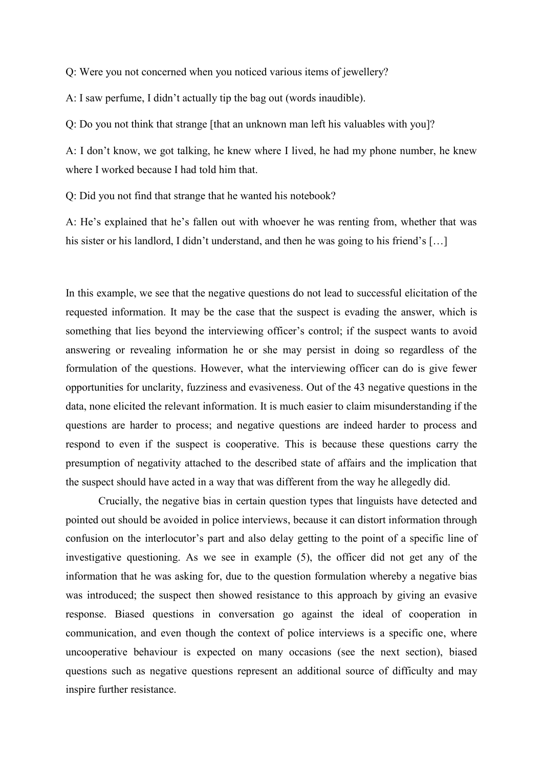Q: Were you not concerned when you noticed various items of jewellery?

A: I saw perfume, I didn't actually tip the bag out (words inaudible).

Q: Do you not think that strange [that an unknown man left his valuables with you]?

A: I don't know, we got talking, he knew where I lived, he had my phone number, he knew where I worked because I had told him that.

Q: Did you not find that strange that he wanted his notebook?

A: He's explained that he's fallen out with whoever he was renting from, whether that was his sister or his landlord, I didn't understand, and then he was going to his friend's [...]

In this example, we see that the negative questions do not lead to successful elicitation of the requested information. It may be the case that the suspect is evading the answer, which is something that lies beyond the interviewing officer's control; if the suspect wants to avoid answering or revealing information he or she may persist in doing so regardless of the formulation of the questions. However, what the interviewing officer can do is give fewer opportunities for unclarity, fuzziness and evasiveness. Out of the 43 negative questions in the data, none elicited the relevant information. It is much easier to claim misunderstanding if the questions are harder to process; and negative questions are indeed harder to process and respond to even if the suspect is cooperative. This is because these questions carry the presumption of negativity attached to the described state of affairs and the implication that the suspect should have acted in a way that was different from the way he allegedly did.

Crucially, the negative bias in certain question types that linguists have detected and pointed out should be avoided in police interviews, because it can distort information through confusion on the interlocutor's part and also delay getting to the point of a specific line of investigative questioning. As we see in example (5), the officer did not get any of the information that he was asking for, due to the question formulation whereby a negative bias was introduced; the suspect then showed resistance to this approach by giving an evasive response. Biased questions in conversation go against the ideal of cooperation in communication, and even though the context of police interviews is a specific one, where uncooperative behaviour is expected on many occasions (see the next section), biased questions such as negative questions represent an additional source of difficulty and may inspire further resistance.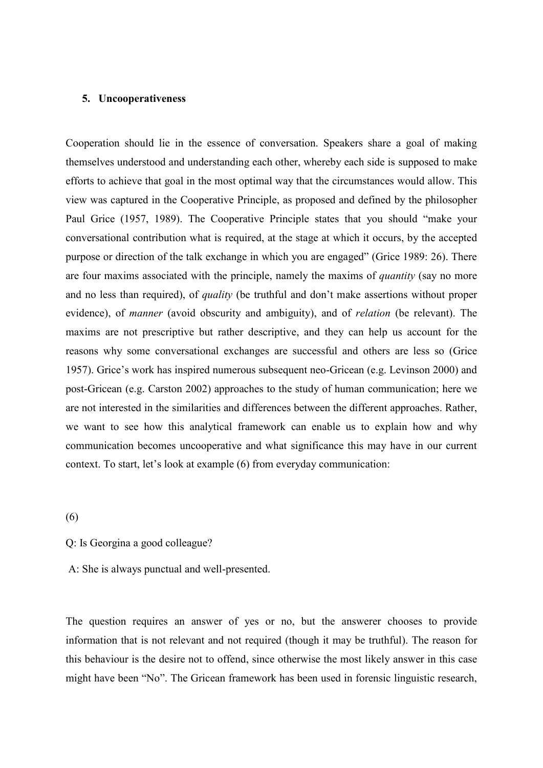#### **5. Uncooperativeness**

Cooperation should lie in the essence of conversation. Speakers share a goal of making themselves understood and understanding each other, whereby each side is supposed to make efforts to achieve that goal in the most optimal way that the circumstances would allow. This view was captured in the Cooperative Principle, as proposed and defined by the philosopher Paul Grice (1957, 1989). The Cooperative Principle states that you should "make your conversational contribution what is required, at the stage at which it occurs, by the accepted purpose or direction of the talk exchange in which you are engaged" (Grice 1989: 26). There are four maxims associated with the principle, namely the maxims of *quantity* (say no more and no less than required), of *quality* (be truthful and don't make assertions without proper evidence), of *manner* (avoid obscurity and ambiguity), and of *relation* (be relevant). The maxims are not prescriptive but rather descriptive, and they can help us account for the reasons why some conversational exchanges are successful and others are less so (Grice 1957). Grice's work has inspired numerous subsequent neo-Gricean (e.g. Levinson 2000) and post-Gricean (e.g. Carston 2002) approaches to the study of human communication; here we are not interested in the similarities and differences between the different approaches. Rather, we want to see how this analytical framework can enable us to explain how and why communication becomes uncooperative and what significance this may have in our current context. To start, let's look at example (6) from everyday communication:

#### (6)

Q: Is Georgina a good colleague?

A: She is always punctual and well-presented.

The question requires an answer of yes or no, but the answerer chooses to provide information that is not relevant and not required (though it may be truthful). The reason for this behaviour is the desire not to offend, since otherwise the most likely answer in this case might have been "No". The Gricean framework has been used in forensic linguistic research,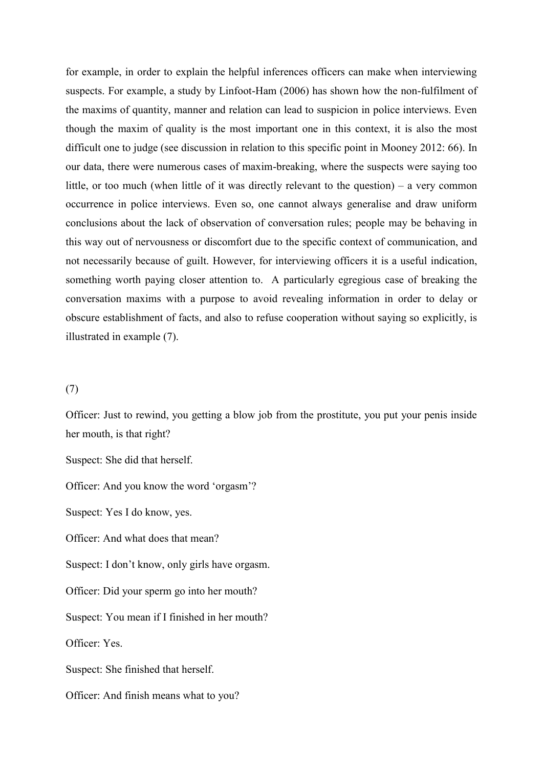for example, in order to explain the helpful inferences officers can make when interviewing suspects. For example, a study by Linfoot-Ham (2006) has shown how the non-fulfilment of the maxims of quantity, manner and relation can lead to suspicion in police interviews. Even though the maxim of quality is the most important one in this context, it is also the most difficult one to judge (see discussion in relation to this specific point in Mooney 2012: 66). In our data, there were numerous cases of maxim-breaking, where the suspects were saying too little, or too much (when little of it was directly relevant to the question) – a very common occurrence in police interviews. Even so, one cannot always generalise and draw uniform conclusions about the lack of observation of conversation rules; people may be behaving in this way out of nervousness or discomfort due to the specific context of communication, and not necessarily because of guilt. However, for interviewing officers it is a useful indication, something worth paying closer attention to. A particularly egregious case of breaking the conversation maxims with a purpose to avoid revealing information in order to delay or obscure establishment of facts, and also to refuse cooperation without saying so explicitly, is illustrated in example (7).

# (7)

Officer: Just to rewind, you getting a blow job from the prostitute, you put your penis inside her mouth, is that right?

Suspect: She did that herself.

Officer: And you know the word 'orgasm'?

Suspect: Yes I do know, yes.

Officer: And what does that mean?

Suspect: I don't know, only girls have orgasm.

Officer: Did your sperm go into her mouth?

Suspect: You mean if I finished in her mouth?

Officer: Yes.

Suspect: She finished that herself.

Officer: And finish means what to you?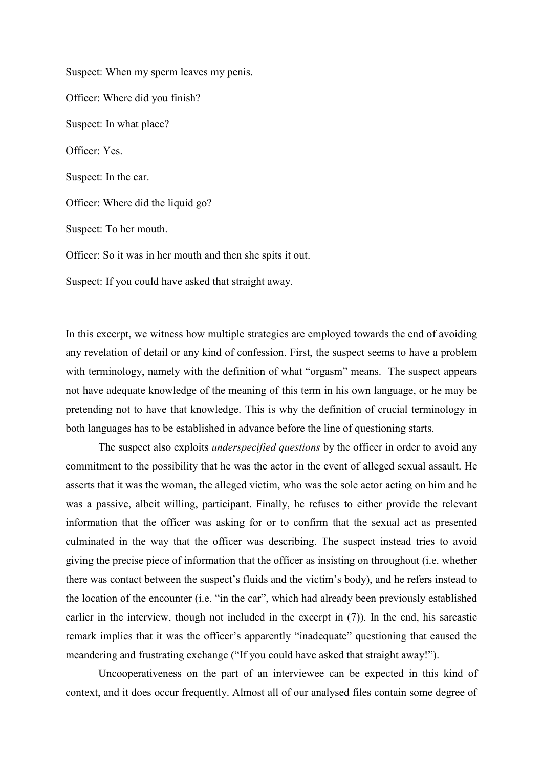Suspect: When my sperm leaves my penis. Officer: Where did you finish? Suspect: In what place? Officer: Yes. Suspect: In the car. Officer: Where did the liquid go? Suspect: To her mouth. Officer: So it was in her mouth and then she spits it out. Suspect: If you could have asked that straight away.

In this excerpt, we witness how multiple strategies are employed towards the end of avoiding any revelation of detail or any kind of confession. First, the suspect seems to have a problem with terminology, namely with the definition of what "orgasm" means. The suspect appears not have adequate knowledge of the meaning of this term in his own language, or he may be pretending not to have that knowledge. This is why the definition of crucial terminology in both languages has to be established in advance before the line of questioning starts.

The suspect also exploits *underspecified questions* by the officer in order to avoid any commitment to the possibility that he was the actor in the event of alleged sexual assault. He asserts that it was the woman, the alleged victim, who was the sole actor acting on him and he was a passive, albeit willing, participant. Finally, he refuses to either provide the relevant information that the officer was asking for or to confirm that the sexual act as presented culminated in the way that the officer was describing. The suspect instead tries to avoid giving the precise piece of information that the officer as insisting on throughout (i.e. whether there was contact between the suspect's fluids and the victim's body), and he refers instead to the location of the encounter (i.e. "in the car", which had already been previously established earlier in the interview, though not included in the excerpt in (7)). In the end, his sarcastic remark implies that it was the officer's apparently "inadequate" questioning that caused the meandering and frustrating exchange ("If you could have asked that straight away!").

Uncooperativeness on the part of an interviewee can be expected in this kind of context, and it does occur frequently. Almost all of our analysed files contain some degree of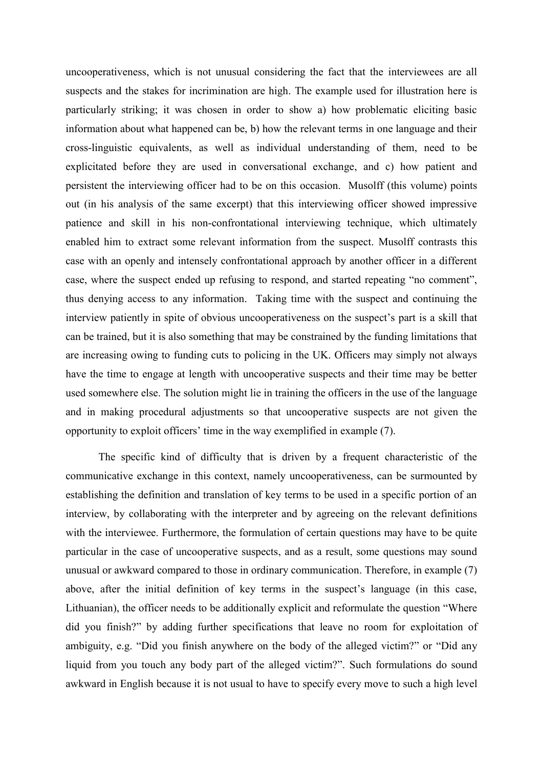uncooperativeness, which is not unusual considering the fact that the interviewees are all suspects and the stakes for incrimination are high. The example used for illustration here is particularly striking; it was chosen in order to show a) how problematic eliciting basic information about what happened can be, b) how the relevant terms in one language and their cross-linguistic equivalents, as well as individual understanding of them, need to be explicitated before they are used in conversational exchange, and c) how patient and persistent the interviewing officer had to be on this occasion. Musolff (this volume) points out (in his analysis of the same excerpt) that this interviewing officer showed impressive patience and skill in his non-confrontational interviewing technique, which ultimately enabled him to extract some relevant information from the suspect. Musolff contrasts this case with an openly and intensely confrontational approach by another officer in a different case, where the suspect ended up refusing to respond, and started repeating "no comment", thus denying access to any information. Taking time with the suspect and continuing the interview patiently in spite of obvious uncooperativeness on the suspect's part is a skill that can be trained, but it is also something that may be constrained by the funding limitations that are increasing owing to funding cuts to policing in the UK. Officers may simply not always have the time to engage at length with uncooperative suspects and their time may be better used somewhere else. The solution might lie in training the officers in the use of the language and in making procedural adjustments so that uncooperative suspects are not given the opportunity to exploit officers' time in the way exemplified in example (7).

The specific kind of difficulty that is driven by a frequent characteristic of the communicative exchange in this context, namely uncooperativeness, can be surmounted by establishing the definition and translation of key terms to be used in a specific portion of an interview, by collaborating with the interpreter and by agreeing on the relevant definitions with the interviewee. Furthermore, the formulation of certain questions may have to be quite particular in the case of uncooperative suspects, and as a result, some questions may sound unusual or awkward compared to those in ordinary communication. Therefore, in example (7) above, after the initial definition of key terms in the suspect's language (in this case, Lithuanian), the officer needs to be additionally explicit and reformulate the question "Where did you finish?" by adding further specifications that leave no room for exploitation of ambiguity, e.g. "Did you finish anywhere on the body of the alleged victim?" or "Did any liquid from you touch any body part of the alleged victim?". Such formulations do sound awkward in English because it is not usual to have to specify every move to such a high level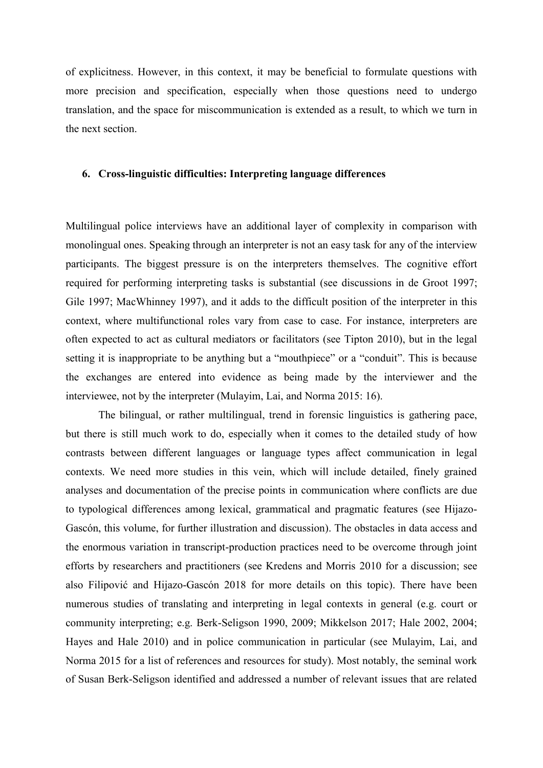of explicitness. However, in this context, it may be beneficial to formulate questions with more precision and specification, especially when those questions need to undergo translation, and the space for miscommunication is extended as a result, to which we turn in the next section.

# **6. Cross-linguistic difficulties: Interpreting language differences**

Multilingual police interviews have an additional layer of complexity in comparison with monolingual ones. Speaking through an interpreter is not an easy task for any of the interview participants. The biggest pressure is on the interpreters themselves. The cognitive effort required for performing interpreting tasks is substantial (see discussions in de Groot 1997; Gile 1997; MacWhinney 1997), and it adds to the difficult position of the interpreter in this context, where multifunctional roles vary from case to case. For instance, interpreters are often expected to act as cultural mediators or facilitators (see Tipton 2010), but in the legal setting it is inappropriate to be anything but a "mouthpiece" or a "conduit". This is because the exchanges are entered into evidence as being made by the interviewer and the interviewee, not by the interpreter (Mulayim, Lai, and Norma 2015: 16).

The bilingual, or rather multilingual, trend in forensic linguistics is gathering pace, but there is still much work to do, especially when it comes to the detailed study of how contrasts between different languages or language types affect communication in legal contexts. We need more studies in this vein, which will include detailed, finely grained analyses and documentation of the precise points in communication where conflicts are due to typological differences among lexical, grammatical and pragmatic features (see Hijazo-Gascón, this volume, for further illustration and discussion). The obstacles in data access and the enormous variation in transcript-production practices need to be overcome through joint efforts by researchers and practitioners (see Kredens and Morris 2010 for a discussion; see also Filipović and Hijazo-Gascón 2018 for more details on this topic). There have been numerous studies of translating and interpreting in legal contexts in general (e.g. court or community interpreting; e.g. Berk-Seligson 1990, 2009; Mikkelson 2017; Hale 2002, 2004; Hayes and Hale 2010) and in police communication in particular (see Mulayim, Lai, and Norma 2015 for a list of references and resources for study). Most notably, the seminal work of Susan Berk-Seligson identified and addressed a number of relevant issues that are related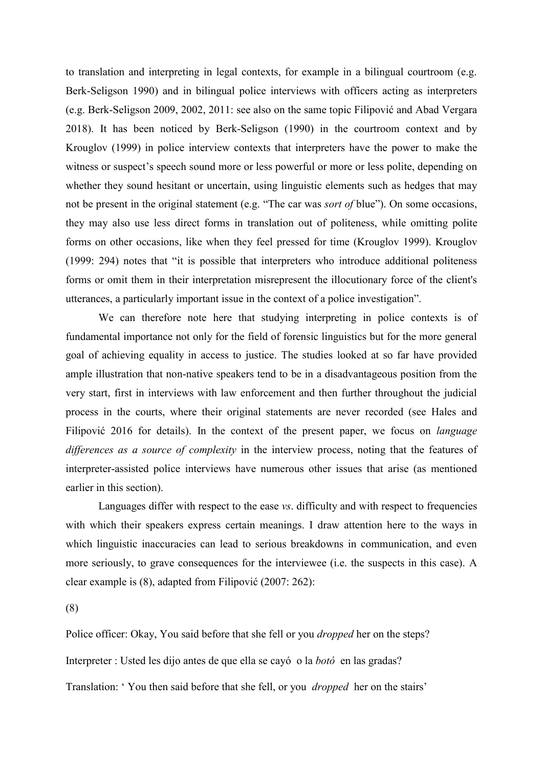to translation and interpreting in legal contexts, for example in a bilingual courtroom (e.g. Berk-Seligson 1990) and in bilingual police interviews with officers acting as interpreters (e.g. Berk-Seligson 2009, 2002, 2011: see also on the same topic Filipović and Abad Vergara 2018). It has been noticed by Berk-Seligson (1990) in the courtroom context and by Krouglov (1999) in police interview contexts that interpreters have the power to make the witness or suspect's speech sound more or less powerful or more or less polite, depending on whether they sound hesitant or uncertain, using linguistic elements such as hedges that may not be present in the original statement (e.g. "The car was *sort of* blue"). On some occasions, they may also use less direct forms in translation out of politeness, while omitting polite forms on other occasions, like when they feel pressed for time (Krouglov 1999). Krouglov (1999: 294) notes that "it is possible that interpreters who introduce additional politeness forms or omit them in their interpretation misrepresent the illocutionary force of the client's utterances, a particularly important issue in the context of a police investigation".

We can therefore note here that studying interpreting in police contexts is of fundamental importance not only for the field of forensic linguistics but for the more general goal of achieving equality in access to justice. The studies looked at so far have provided ample illustration that non-native speakers tend to be in a disadvantageous position from the very start, first in interviews with law enforcement and then further throughout the judicial process in the courts, where their original statements are never recorded (see Hales and Filipović 2016 for details). In the context of the present paper, we focus on *language differences as a source of complexity* in the interview process, noting that the features of interpreter-assisted police interviews have numerous other issues that arise (as mentioned earlier in this section).

Languages differ with respect to the ease *vs*. difficulty and with respect to frequencies with which their speakers express certain meanings. I draw attention here to the ways in which linguistic inaccuracies can lead to serious breakdowns in communication, and even more seriously, to grave consequences for the interviewee (i.e. the suspects in this case). A clear example is (8), adapted from Filipović (2007: 262):

(8)

Police officer: Okay, You said before that she fell or you *dropped* her on the steps? Interpreter : Usted les dijo antes de que ella se cayó o la *botó* en las gradas? Translation: ' You then said before that she fell, or you *dropped* her on the stairs'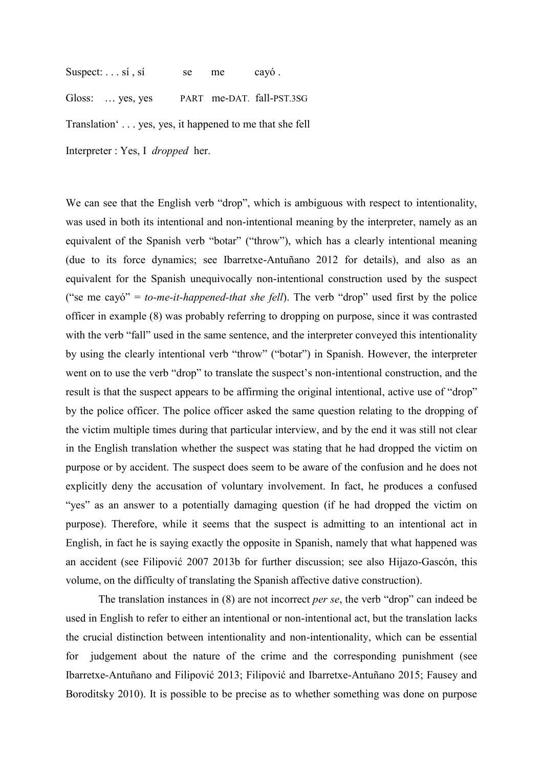Suspect:  $\ldots$  si, si se me cayó.

Gloss: ... yes, yes PART me-DAT. fall-PST.3SG

Translation' . . . yes, yes, it happened to me that she fell

Interpreter : Yes, I *dropped* her.

We can see that the English verb "drop", which is ambiguous with respect to intentionality, was used in both its intentional and non-intentional meaning by the interpreter, namely as an equivalent of the Spanish verb "botar" ("throw"), which has a clearly intentional meaning (due to its force dynamics; see Ibarretxe-Antuñano 2012 for details), and also as an equivalent for the Spanish unequivocally non-intentional construction used by the suspect ("se me cayó" = *to-me-it-happened-that she fell*). The verb "drop" used first by the police officer in example (8) was probably referring to dropping on purpose, since it was contrasted with the verb "fall" used in the same sentence, and the interpreter conveyed this intentionality by using the clearly intentional verb "throw" ("botar") in Spanish. However, the interpreter went on to use the verb "drop" to translate the suspect's non-intentional construction, and the result is that the suspect appears to be affirming the original intentional, active use of "drop" by the police officer. The police officer asked the same question relating to the dropping of the victim multiple times during that particular interview, and by the end it was still not clear in the English translation whether the suspect was stating that he had dropped the victim on purpose or by accident. The suspect does seem to be aware of the confusion and he does not explicitly deny the accusation of voluntary involvement. In fact, he produces a confused "yes" as an answer to a potentially damaging question (if he had dropped the victim on purpose). Therefore, while it seems that the suspect is admitting to an intentional act in English, in fact he is saying exactly the opposite in Spanish, namely that what happened was an accident (see Filipović 2007 2013b for further discussion; see also Hijazo-Gascón, this volume, on the difficulty of translating the Spanish affective dative construction).

The translation instances in (8) are not incorrect *per se*, the verb "drop" can indeed be used in English to refer to either an intentional or non-intentional act, but the translation lacks the crucial distinction between intentionality and non-intentionality, which can be essential for judgement about the nature of the crime and the corresponding punishment (see Ibarretxe-Antuñano and Filipović 2013; Filipović and Ibarretxe-Antuñano 2015; Fausey and Boroditsky 2010). It is possible to be precise as to whether something was done on purpose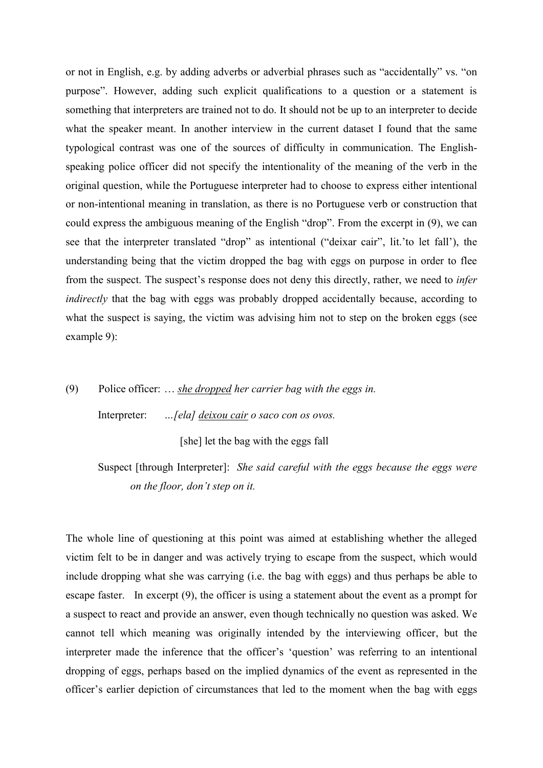or not in English, e.g. by adding adverbs or adverbial phrases such as "accidentally" vs. "on purpose". However, adding such explicit qualifications to a question or a statement is something that interpreters are trained not to do. It should not be up to an interpreter to decide what the speaker meant. In another interview in the current dataset I found that the same typological contrast was one of the sources of difficulty in communication. The Englishspeaking police officer did not specify the intentionality of the meaning of the verb in the original question, while the Portuguese interpreter had to choose to express either intentional or non-intentional meaning in translation, as there is no Portuguese verb or construction that could express the ambiguous meaning of the English "drop". From the excerpt in (9), we can see that the interpreter translated "drop" as intentional ("deixar cair", lit.'to let fall'), the understanding being that the victim dropped the bag with eggs on purpose in order to flee from the suspect. The suspect's response does not deny this directly, rather, we need to *infer indirectly* that the bag with eggs was probably dropped accidentally because, according to what the suspect is saying, the victim was advising him not to step on the broken eggs (see example 9):

# (9) Police officer: … *she dropped her carrier bag with the eggs in.*

Interpreter: *…[ela] deixou cair o saco con os ovos.*

[she] let the bag with the eggs fall

# Suspect [through Interpreter]: *She said careful with the eggs because the eggs were on the floor, don't step on it.*

The whole line of questioning at this point was aimed at establishing whether the alleged victim felt to be in danger and was actively trying to escape from the suspect, which would include dropping what she was carrying (i.e. the bag with eggs) and thus perhaps be able to escape faster. In excerpt (9), the officer is using a statement about the event as a prompt for a suspect to react and provide an answer, even though technically no question was asked. We cannot tell which meaning was originally intended by the interviewing officer, but the interpreter made the inference that the officer's 'question' was referring to an intentional dropping of eggs, perhaps based on the implied dynamics of the event as represented in the officer's earlier depiction of circumstances that led to the moment when the bag with eggs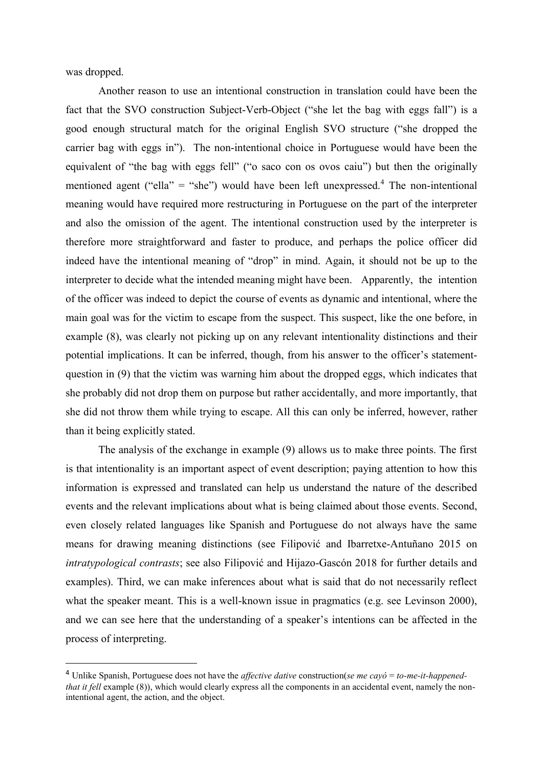was dropped.

1

Another reason to use an intentional construction in translation could have been the fact that the SVO construction Subject-Verb-Object ("she let the bag with eggs fall") is a good enough structural match for the original English SVO structure ("she dropped the carrier bag with eggs in"). The non-intentional choice in Portuguese would have been the equivalent of "the bag with eggs fell" ("o saco con os ovos caiu") but then the originally mentioned agent ("ella" = "she") would have been left unexpressed.<sup>4</sup> The non-intentional meaning would have required more restructuring in Portuguese on the part of the interpreter and also the omission of the agent. The intentional construction used by the interpreter is therefore more straightforward and faster to produce, and perhaps the police officer did indeed have the intentional meaning of "drop" in mind. Again, it should not be up to the interpreter to decide what the intended meaning might have been. Apparently, the intention of the officer was indeed to depict the course of events as dynamic and intentional, where the main goal was for the victim to escape from the suspect. This suspect, like the one before, in example (8), was clearly not picking up on any relevant intentionality distinctions and their potential implications. It can be inferred, though, from his answer to the officer's statementquestion in (9) that the victim was warning him about the dropped eggs, which indicates that she probably did not drop them on purpose but rather accidentally, and more importantly, that she did not throw them while trying to escape. All this can only be inferred, however, rather than it being explicitly stated.

The analysis of the exchange in example (9) allows us to make three points. The first is that intentionality is an important aspect of event description; paying attention to how this information is expressed and translated can help us understand the nature of the described events and the relevant implications about what is being claimed about those events. Second, even closely related languages like Spanish and Portuguese do not always have the same means for drawing meaning distinctions (see Filipović and Ibarretxe-Antuñano 2015 on *intratypological contrasts*; see also Filipović and Hijazo-Gascón 2018 for further details and examples). Third, we can make inferences about what is said that do not necessarily reflect what the speaker meant. This is a well-known issue in pragmatics (e.g. see Levinson 2000), and we can see here that the understanding of a speaker's intentions can be affected in the process of interpreting.

<sup>4</sup> Unlike Spanish, Portuguese does not have the *affective dative* construction(*se me cayó* = *to-me-it-happenedthat it fell* example (8)), which would clearly express all the components in an accidental event, namely the nonintentional agent, the action, and the object.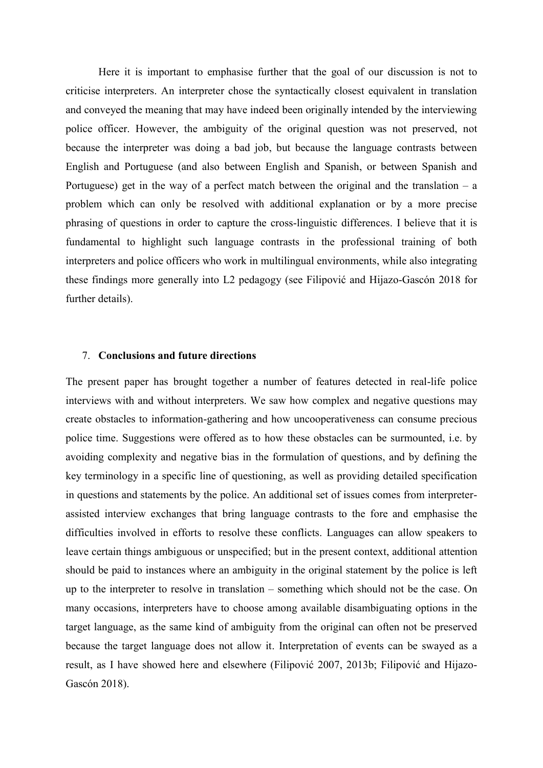Here it is important to emphasise further that the goal of our discussion is not to criticise interpreters. An interpreter chose the syntactically closest equivalent in translation and conveyed the meaning that may have indeed been originally intended by the interviewing police officer. However, the ambiguity of the original question was not preserved, not because the interpreter was doing a bad job, but because the language contrasts between English and Portuguese (and also between English and Spanish, or between Spanish and Portuguese) get in the way of a perfect match between the original and the translation  $-$  a problem which can only be resolved with additional explanation or by a more precise phrasing of questions in order to capture the cross-linguistic differences. I believe that it is fundamental to highlight such language contrasts in the professional training of both interpreters and police officers who work in multilingual environments, while also integrating these findings more generally into L2 pedagogy (see Filipović and Hijazo-Gascón 2018 for further details).

#### 7. **Conclusions and future directions**

The present paper has brought together a number of features detected in real-life police interviews with and without interpreters. We saw how complex and negative questions may create obstacles to information-gathering and how uncooperativeness can consume precious police time. Suggestions were offered as to how these obstacles can be surmounted, i.e. by avoiding complexity and negative bias in the formulation of questions, and by defining the key terminology in a specific line of questioning, as well as providing detailed specification in questions and statements by the police. An additional set of issues comes from interpreterassisted interview exchanges that bring language contrasts to the fore and emphasise the difficulties involved in efforts to resolve these conflicts. Languages can allow speakers to leave certain things ambiguous or unspecified; but in the present context, additional attention should be paid to instances where an ambiguity in the original statement by the police is left up to the interpreter to resolve in translation – something which should not be the case. On many occasions, interpreters have to choose among available disambiguating options in the target language, as the same kind of ambiguity from the original can often not be preserved because the target language does not allow it. Interpretation of events can be swayed as a result, as I have showed here and elsewhere (Filipović 2007, 2013b; Filipović and Hijazo-Gascón 2018).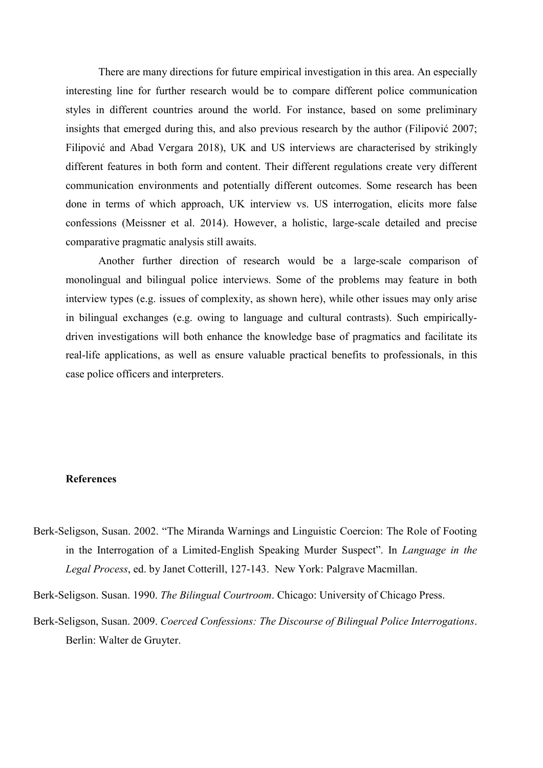There are many directions for future empirical investigation in this area. An especially interesting line for further research would be to compare different police communication styles in different countries around the world. For instance, based on some preliminary insights that emerged during this, and also previous research by the author (Filipović 2007; Filipović and Abad Vergara 2018), UK and US interviews are characterised by strikingly different features in both form and content. Their different regulations create very different communication environments and potentially different outcomes. Some research has been done in terms of which approach, UK interview vs. US interrogation, elicits more false confessions (Meissner et al. 2014). However, a holistic, large-scale detailed and precise comparative pragmatic analysis still awaits.

Another further direction of research would be a large-scale comparison of monolingual and bilingual police interviews. Some of the problems may feature in both interview types (e.g. issues of complexity, as shown here), while other issues may only arise in bilingual exchanges (e.g. owing to language and cultural contrasts). Such empiricallydriven investigations will both enhance the knowledge base of pragmatics and facilitate its real-life applications, as well as ensure valuable practical benefits to professionals, in this case police officers and interpreters.

# **References**

- Berk-Seligson, Susan. 2002. "The Miranda Warnings and Linguistic Coercion: The Role of Footing in the Interrogation of a Limited-English Speaking Murder Suspect". In *Language in the Legal Process*, ed. by Janet Cotterill, 127-143. New York: Palgrave Macmillan.
- Berk-Seligson. Susan. 1990. *The Bilingual Courtroom*. Chicago: University of Chicago Press.
- Berk-Seligson, Susan. 2009. *Coerced Confessions: The Discourse of Bilingual Police Interrogations*. Berlin: Walter de Gruyter.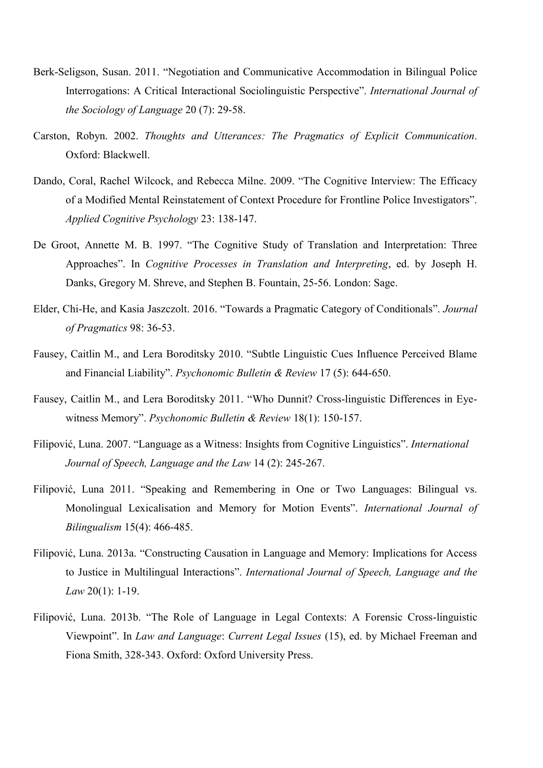- Berk-Seligson, Susan. 2011. "Negotiation and Communicative Accommodation in Bilingual Police Interrogations: A Critical Interactional Sociolinguistic Perspective". *International Journal of the Sociology of Language* 20 (7): 29-58.
- Carston, Robyn. 2002. *Thoughts and Utterances: The Pragmatics of Explicit Communication*. Oxford: Blackwell.
- Dando, Coral, Rachel Wilcock, and Rebecca Milne. 2009. "The Cognitive Interview: The Efficacy of a Modified Mental Reinstatement of Context Procedure for Frontline Police Investigators". *Applied Cognitive Psychology* 23: 138-147.
- De Groot, Annette M. B. 1997. "The Cognitive Study of Translation and Interpretation: Three Approaches". In *Cognitive Processes in Translation and Interpreting*, ed. by Joseph H. Danks, Gregory M. Shreve, and Stephen B. Fountain, 25-56. London: Sage.
- Elder, Chi-He, and Kasia Jaszczolt. 2016. "Towards a Pragmatic Category of Conditionals". *Journal of Pragmatics* 98: 36-53.
- Fausey, Caitlin M., and Lera Boroditsky 2010. "Subtle Linguistic Cues Influence Perceived Blame and Financial Liability". *Psychonomic Bulletin & Review* 17 (5): 644-650.
- Fausey, Caitlin M., and Lera Boroditsky 2011. "Who Dunnit? Cross-linguistic Differences in Eyewitness Memory". *Psychonomic Bulletin & Review* 18(1): 150-157.
- Filipović, Luna. 2007. "Language as a Witness: Insights from Cognitive Linguistics". *International Journal of Speech, Language and the Law* 14 (2): 245-267.
- Filipović, Luna 2011. "Speaking and Remembering in One or Two Languages: Bilingual vs. Monolingual Lexicalisation and Memory for Motion Events". *International Journal of Bilingualism* 15(4): 466-485.
- Filipović, Luna. 2013a. "Constructing Causation in Language and Memory: Implications for Access to Justice in Multilingual Interactions". *International Journal of Speech, Language and the Law* 20(1): 1-19.
- Filipović, Luna. 2013b. "The Role of Language in Legal Contexts: A Forensic Cross-linguistic Viewpoint". In *Law and Language*: *Current Legal Issues* (15), ed. by Michael Freeman and Fiona Smith, 328-343. Oxford: Oxford University Press.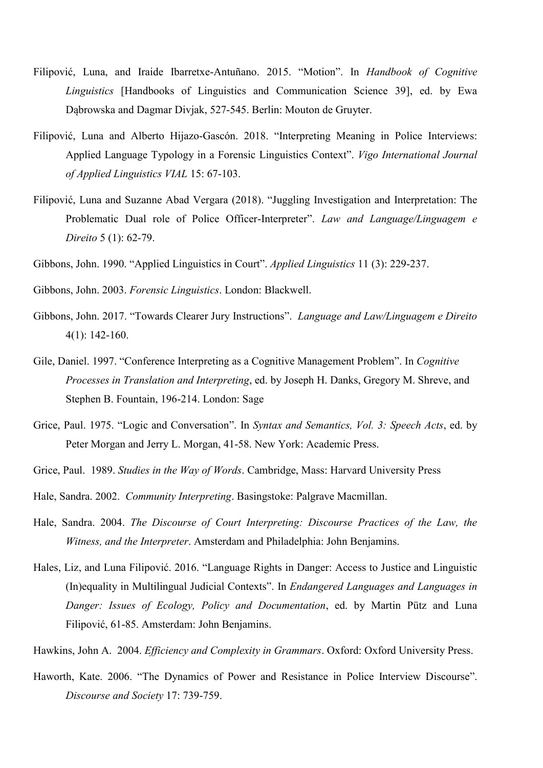- Filipović, Luna, and Iraide Ibarretxe-Antuñano. 2015. "Motion". In *Handbook of Cognitive Linguistics* [Handbooks of Linguistics and Communication Science 39], ed. by Ewa Dąbrowska and Dagmar Divjak, 527-545. Berlin: Mouton de Gruyter.
- Filipović, Luna and Alberto Hijazo-Gascón. 2018. "Interpreting Meaning in Police Interviews: Applied Language Typology in a Forensic Linguistics Context". *Vigo International Journal of Applied Linguistics VIAL* 15: 67-103.
- Filipović, Luna and Suzanne Abad Vergara (2018). "Juggling Investigation and Interpretation: The Problematic Dual role of Police Officer-Interpreter". *Law and Language/Linguagem e Direito* 5 (1): 62-79.
- Gibbons, John. 1990. "Applied Linguistics in Court". *Applied Linguistics* 11 (3): 229-237.
- Gibbons, John. 2003. *Forensic Linguistics*. London: Blackwell.
- Gibbons, John. 2017. "Towards Clearer Jury Instructions". *Language and Law/Linguagem e Direito* 4(1): 142-160.
- Gile, Daniel. 1997. "Conference Interpreting as a Cognitive Management Problem". In *Cognitive Processes in Translation and Interpreting*, ed. by Joseph H. Danks, Gregory M. Shreve, and Stephen B. Fountain, 196-214. London: Sage
- Grice, Paul. 1975. "Logic and Conversation". In *Syntax and Semantics, Vol. 3: Speech Acts*, ed. by Peter Morgan and Jerry L. Morgan, 41-58. New York: Academic Press.
- Grice, Paul. 1989. *Studies in the Way of Words*. Cambridge, Mass: Harvard University Press
- Hale, Sandra. 2002. *Community Interpreting*. Basingstoke: Palgrave Macmillan.
- Hale, Sandra. 2004. *The Discourse of Court Interpreting: Discourse Practices of the Law, the Witness, and the Interpreter*. Amsterdam and Philadelphia: John Benjamins.
- Hales, Liz, and Luna Filipović. 2016. "Language Rights in Danger: Access to Justice and Linguistic (In)equality in Multilingual Judicial Contexts". In *Endangered Languages and Languages in Danger: Issues of Ecology, Policy and Documentation*, ed. by Martin Pütz and Luna Filipović, 61-85. Amsterdam: John Benjamins.
- Hawkins, John A. 2004. *Efficiency and Complexity in Grammars*. Oxford: Oxford University Press.
- Haworth, Kate. 2006. "The Dynamics of Power and Resistance in Police Interview Discourse". *Discourse and Society* 17: 739-759.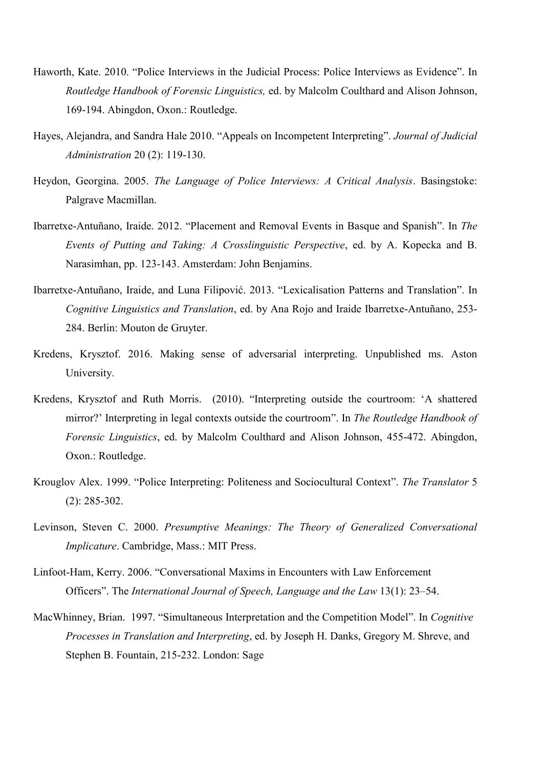- Haworth, Kate. 2010. "[Police Interviews in the Judicial Process: Police Interviews as Evidence](https://research.aston.ac.uk/portal/en/researchoutput/police-interviews-in-the-judicial-process(3fc2a126-6064-464b-8026-07fba5837159).html)". In *Routledge Handbook of Forensic Linguistics,* ed. by Malcolm Coulthard and Alison Johnson, 169-194. Abingdon, Oxon.: Routledge.
- Hayes, Alejandra, and Sandra Hale 2010. "Appeals on Incompetent Interpreting". *Journal of Judicial Administration* 20 (2): 119-130.
- Heydon, Georgina. 2005. *The Language of Police Interviews: A Critical Analysis*. Basingstoke: Palgrave Macmillan.
- Ibarretxe-Antuñano, Iraide. 2012. "Placement and Removal Events in Basque and Spanish". In *The Events of Putting and Taking: A Crosslinguistic Perspective*, ed. by A. Kopecka and B. Narasimhan, pp. 123-143. Amsterdam: John Benjamins.
- Ibarretxe-Antuñano, Iraide, and Luna Filipović. 2013. "Lexicalisation Patterns and Translation". In *Cognitive Linguistics and Translation*, ed. by Ana Rojo and Iraide Ibarretxe-Antuñano, 253- 284. Berlin: Mouton de Gruyter.
- Kredens, Krysztof. 2016. Making sense of adversarial interpreting. Unpublished ms. Aston University.
- Kredens, Krysztof and Ruth Morris. (2010). "Interpreting outside the courtroom: 'A shattered mirror?' Interpreting in legal contexts outside the courtroom". In *The Routledge Handbook of Forensic Linguistics*, ed. by Malcolm Coulthard and Alison Johnson, 455-472. Abingdon, Oxon.: Routledge.
- Krouglov Alex. 1999. "Police Interpreting: Politeness and Sociocultural Context". *The Translator* 5 (2): 285-302.
- Levinson, Steven C. 2000. *Presumptive Meanings: The Theory of Generalized Conversational Implicature*. Cambridge, Mass.: MIT Press.
- Linfoot-Ham, Kerry. 2006. "Conversational Maxims in Encounters with Law Enforcement Officers". The *International Journal of Speech, Language and the Law* 13(1): 23–54.
- MacWhinney, Brian. 1997. "Simultaneous Interpretation and the Competition Model". In *Cognitive Processes in Translation and Interpreting*, ed. by Joseph H. Danks, Gregory M. Shreve, and Stephen B. Fountain, 215-232. London: Sage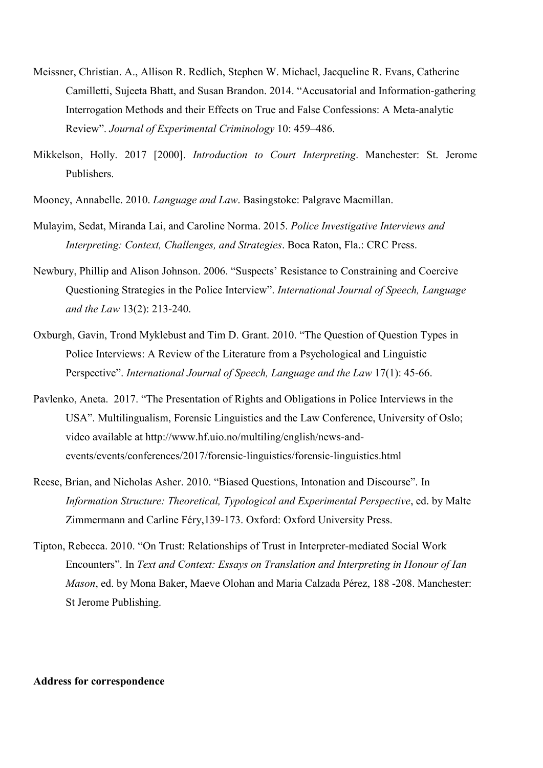- Meissner, Christian. A., Allison R. Redlich, Stephen W. Michael, Jacqueline R. Evans, Catherine Camilletti, Sujeeta Bhatt, and Susan Brandon. 2014. "Accusatorial and Information-gathering Interrogation Methods and their Effects on True and False Confessions: A Meta-analytic Review". *Journal of Experimental Criminology* 10: 459–486.
- Mikkelson, Holly. 2017 [2000]. *Introduction to Court Interpreting*. Manchester: St. Jerome Publishers.
- Mooney, Annabelle. 2010. *Language and Law*. Basingstoke: Palgrave Macmillan.
- Mulayim, Sedat, Miranda Lai, and Caroline Norma. 2015. *Police Investigative Interviews and Interpreting: Context, Challenges, and Strategies*. Boca Raton, Fla.: CRC Press.
- Newbury, Phillip and Alison Johnson. 2006. "Suspects' Resistance to Constraining and Coercive Questioning Strategies in the Police Interview". *International Journal of Speech, Language and the Law* 13(2): 213-240.
- Oxburgh, Gavin, Trond Myklebust and Tim D. Grant. 2010. "The Question of Question Types in Police Interviews: A Review of the Literature from a Psychological and Linguistic Perspective". *International Journal of Speech, Language and the Law* 17(1): 45-66.
- Pavlenko, Aneta. 2017. "The Presentation of Rights and Obligations in Police Interviews in the USA". Multilingualism, Forensic Linguistics and the Law Conference, University of Oslo; video available at http://www.hf.uio.no/multiling/english/news-andevents/events/conferences/2017/forensic-linguistics/forensic-linguistics.html
- Reese, Brian, and Nicholas Asher. 2010. "Biased Questions, Intonation and Discourse". In *Information Structure: Theoretical, Typological and Experimental Perspective*, ed. by Malte Zimmermann and Carline Féry,139-173. Oxford: Oxford University Press.
- Tipton, Rebecca. 2010. "On Trust: Relationships of Trust in Interpreter-mediated Social Work Encounters". In *Text and Context: Essays on Translation and Interpreting in Honour of Ian Mason*, ed. by Mona Baker, Maeve Olohan and Maria Calzada Pérez, 188 -208. Manchester: St Jerome Publishing.

#### **Address for correspondence**